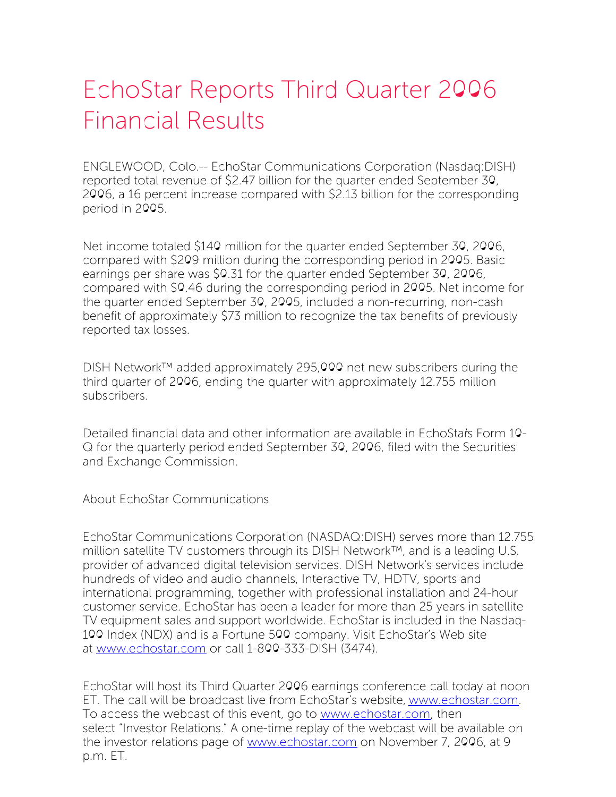## EchoStar Reports Third Quarter 2006 Financial Results

ENGLEWOOD, Colo.-- EchoStar Communications Corporation (Nasdaq:DISH) reported total revenue of \$2.47 billion for the quarter ended September 30, 2006, a 16 percent increase compared with \$2.13 billion for the corresponding period in 2005.

Net income totaled \$140 million for the quarter ended September 30, 2006, compared with \$209 million during the corresponding period in 2005. Basic earnings per share was \$0.31 for the quarter ended September 30, 2006, compared with \$0.46 during the corresponding period in 2005. Net income for the quarter ended September 30, 2005, included a non-recurring, non-cash benefit of approximately \$73 million to recognize the tax benefits of previously reported tax losses.

DISH Network™ added approximately 295,000 net new subscribers during the third quarter of 2006, ending the quarter with approximately 12.755 million subscribers.

Detailed financial data and other information are available in EchoStar's Form 10- Q for the quarterly period ended September 30, 2006, filed with the Securities and Exchange Commission.

About EchoStar Communications

EchoStar Communications Corporation (NASDAQ:DISH) serves more than 12.755 million satellite TV customers through its DISH Network™, and is a leading U.S. provider of advanced digital television services. DISH Network's services include hundreds of video and audio channels, Interactive TV, HDTV, sports and international programming, together with professional installation and 24-hour customer service. EchoStar has been a leader for more than 25 years in satellite TV equipment sales and support worldwide. EchoStar is included in the Nasdaq-100 Index (NDX) and is a Fortune 500 company. Visit EchoStar's Web site at [www.echostar.com](http://www.echostar.com/) or call 1-800-333-DISH (3474).

EchoStar will host its Third Quarter 2006 earnings conference call today at noon ET. The call will be broadcast live from EchoStar's website, [www.echostar.com](http://www.echostar.com/). To access the webcast of this event, go to [www.echostar.com](http://www.echostar.com/), then select "Investor Relations." A one-time replay of the webcast will be available on the investor relations page of [www.echostar.com](http://www.echostar.com/) on November 7, 2006, at 9 p.m. ET.